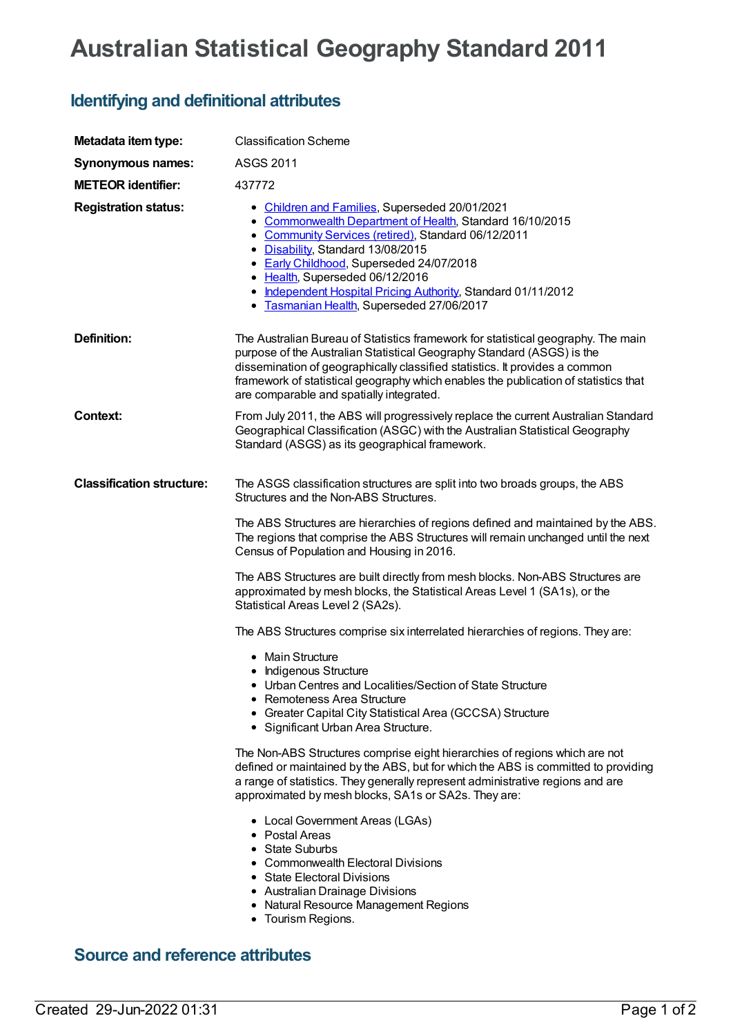## **Australian Statistical Geography Standard 2011**

## **Identifying and definitional attributes**

| Metadata item type:              | <b>Classification Scheme</b>                                                                                                                                                                                                                                                                                                                                                                        |
|----------------------------------|-----------------------------------------------------------------------------------------------------------------------------------------------------------------------------------------------------------------------------------------------------------------------------------------------------------------------------------------------------------------------------------------------------|
| Synonymous names:                | <b>ASGS 2011</b>                                                                                                                                                                                                                                                                                                                                                                                    |
| <b>METEOR identifier:</b>        | 437772                                                                                                                                                                                                                                                                                                                                                                                              |
| <b>Registration status:</b>      | • Children and Families, Superseded 20/01/2021<br>• Commonwealth Department of Health, Standard 16/10/2015<br>• Community Services (retired), Standard 06/12/2011<br>• Disability, Standard 13/08/2015<br>• Early Childhood, Superseded 24/07/2018<br>• Health, Superseded 06/12/2016<br>• Independent Hospital Pricing Authority, Standard 01/11/2012<br>• Tasmanian Health, Superseded 27/06/2017 |
| <b>Definition:</b>               | The Australian Bureau of Statistics framework for statistical geography. The main<br>purpose of the Australian Statistical Geography Standard (ASGS) is the<br>dissemination of geographically classified statistics. It provides a common<br>framework of statistical geography which enables the publication of statistics that<br>are comparable and spatially integrated.                       |
| Context:                         | From July 2011, the ABS will progressively replace the current Australian Standard<br>Geographical Classification (ASGC) with the Australian Statistical Geography<br>Standard (ASGS) as its geographical framework.                                                                                                                                                                                |
| <b>Classification structure:</b> | The ASGS classification structures are split into two broads groups, the ABS<br>Structures and the Non-ABS Structures.                                                                                                                                                                                                                                                                              |
|                                  | The ABS Structures are hierarchies of regions defined and maintained by the ABS.<br>The regions that comprise the ABS Structures will remain unchanged until the next<br>Census of Population and Housing in 2016.                                                                                                                                                                                  |
|                                  | The ABS Structures are built directly from mesh blocks. Non-ABS Structures are<br>approximated by mesh blocks, the Statistical Areas Level 1 (SA1s), or the<br>Statistical Areas Level 2 (SA2s).                                                                                                                                                                                                    |
|                                  | The ABS Structures comprise six interrelated hierarchies of regions. They are:                                                                                                                                                                                                                                                                                                                      |
|                                  | • Main Structure<br>• Indigenous Structure<br>• Urban Centres and Localities/Section of State Structure<br>• Remoteness Area Structure<br>• Greater Capital City Statistical Area (GCCSA) Structure                                                                                                                                                                                                 |
|                                  | • Significant Urban Area Structure.                                                                                                                                                                                                                                                                                                                                                                 |
|                                  | The Non-ABS Structures comprise eight hierarchies of regions which are not<br>defined or maintained by the ABS, but for which the ABS is committed to providing<br>a range of statistics. They generally represent administrative regions and are<br>approximated by mesh blocks, SA1s or SA2s. They are:                                                                                           |
|                                  | • Local Government Areas (LGAs)<br>• Postal Areas<br>• State Suburbs<br>• Commonwealth Electoral Divisions<br>• State Electoral Divisions<br>• Australian Drainage Divisions<br>• Natural Resource Management Regions<br>• Tourism Regions.                                                                                                                                                         |

## **Source and reference attributes**